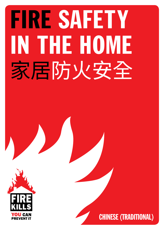# FIRE SAFETY IN THE HOME 家居防火安全



CHINESE (TRADITIONAL)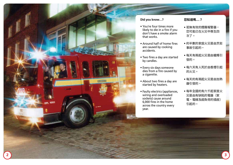

#### **Did you know…?**

- You're four times more likely to die in a fire if you don't have a smoke alarm that works.
- Around half of home fires are caused by cooking accidents.
- Two fires a day are started by candles.
- Every six days someone dies from a fire caused by a cigarette.
- About two fires a day are started by heaters.
- Faulty electrics (appliances, wiring and overloaded sockets) cause around 6,000 fires in the home across the country every year.

#### **您知道嗎…?**

- 若無有效的煙霧報警器, 您可能已在火災中喪生四 次了。
- 約半數的家庭火災是由烹飪 事故引起的。
- 每天有兩起火災是由蠟燭引 發的。
- 每六天有人死於由香煙引起 的火災。
- 每天約有兩起火災是由加熱 器引發的。
- 每年全國約有六千起家居火 災是由有缺陷的電器(家 電、電線及超負荷的插座) 引起的。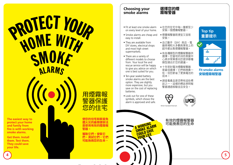# **PROTECT YOUR** HOME WITH SMOKE **ALARMS**

**The easiest way to protect your home and family from fire is with working smoke alarms.**

**Get them. Install them. Test them. They could save your life.**





**.的住宅和家庭**免 **遭火災的最簡便辦法 是使用有效的煙霧報 警器。**

**獲取它們。安裝它 們。測試它們。它們 可能挽救您的生命。**

#### **Choosing your smoke alarms**

- Fit at least one smoke alarm on every level of your home.
- Smoke alarms are cheap and easy to install.
- They are available from DIY stores, electrical shops and most high street supermarkets.
- There are a variety of different models to choose from. Your local fire and rescue service will be happy to give you advice on which one is best suited for you.
- Ten-year sealed battery smoke alarms are the best option. They are slightly more expensive, but you save on the cost of replacing batteries.
- Look out for one of these symbols, which shows the alarm is approved and safe.

**A WORKING** A WORKINGRAM<br>SMOKE ALARM SMONE SAVE YOUR LIFE

• 在您的住宅中每一層都至少 安裝一個煙霧報警器。

**選擇您的煙 霧報警器**

- 煙霧報警器既便宜又容易 安裝。
- 自己動手(DIY)商店、電 器商場和大多數商業街上的 超市都出售煙霧報警器。
- 有各種類型的煙霧報警器供 撰擇。您當地的消防救援中 心將非常樂意向您提供哪種 類型適合於您的建議。
- 十年密封電池煙霧報警器 是最佳選擇。它們稍微貴一 些,但您節省了更換電池的 成本。
- 請查看產品是否帶有這些標 誌之一,這樣的標誌表明報 警器通過檢驗並且安全。



有效的煙霧報警器 可能挽救您的生命

British Standard Kitemark



**Top tip**

**重要提示**

# **Fit smoke alarms 安裝煙霧報警器**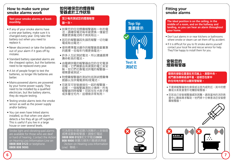#### **How to make sure your smoke alarms work**

 **Test your smoke alarms at least monthly.**

- If any of your smoke alarms have a one year battery, make sure it is changed every year. Only take the battery out when you need to replace it.
- Never disconnect or take the batteries out of your alarm if it goes off by mistake.
- Standard battery operated alarms are the cheapest option, but the batteries need to be replaced every year.
- A lot of people forget to test the batteries, so longer life batteries are better.
- Mains-powered alarms are powered by your home power supply. They need to be installed by a qualified electrician, but like battery alarms, they do require testing.
- Testing smoke alarms tests the smoke sensor as well as the power supply and/or battery.
- You can even have linked alarms installed, so that when one alarm detects a fire they all go off together. This is useful if you live in a large house or over several levels.

 Strobe light and vibrating-pad alarms are available for those who are deaf or hard of hearing. Contact the Action on Hearing Loss Information Line on **0808 808 0123** or textphone **0808 808 9000**.

• 使用標準電池運作的報警器是最實惠 的選擇,但每年均需更換電池。 • 許多人忘記測試電池,所以建議選擇 壽命較長的電池。

電或取出電池。

**至少每月測試您的煙霧報警**

**如何確保您的煙霧報 警器處於工作狀態**

• 如果您的任何煙霧報警器有一年的電 池,請確保電池每年被更換。僅當您 需要更換電池時才將其取出。

• 若您的報警器因失誤而報警,切勿斷

**器一次。**

- 由電網供電的報警器由您的住宅電源 供電。它們需要由有資質的電工來安 裝,但它們也像電池供電的報警器一 樣需要被測試。
- 對煙霧報警器的測試包括測試煙霧傳 感器以及供電電源和/或電池。
- 您甚至可安裝連接在一起的報警器, 這樣,一個報警器測到火情時,所有 報警器同時報警。您若住在大房子裡 或多層住宅內,這樣做非常有用。

可為那些失聰或聽力困難的人安裝燈 感應或震動報警器。請撥打電話 **0808 808 0123**或文字電話**0808 808 9000** 與聽力損失行動資訊熱線 (Action on Hearing Loss Information Line)聯絡。

# **Test it 測試它**

**Top tip**

**重要提示**

## **Fitting your smoke alarms**

**The ideal position is on the ceiling, in the middle of a room, and on the hallway and landing, so you can hear an alarm throughout your home.**

- Don't put alarms in or near kitchens or bathrooms where smoke or steam can set them off by accident.
- If it is difficult for you to fit smoke alarms yourself contact your local fire and rescue service for help. They'll be happy to install them for vou.



#### **理想的安裝位置是在天花板上、房間中央、 或門廳及樓梯過渡平臺,這樣您在家中 的任何地方都可以聽到警報聲。**

- 不要將報警器放在廚房或浴室內或附近,其中的煙 霧或水蒸氣會意外地觸發報警器。
- 您若自己安裝報警器感到困難,請與當地的消防救 援中心聯絡尋求幫助。他們將十分樂意為您安裝煙 霧報警器。



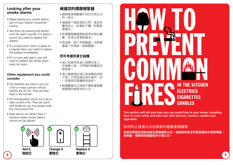# **Looking after your smoke alarms**

- Make testing your smoke alarms part of your regular household routine.
- Test them by pressing the button until the alarm sounds. If it doesn't sound, you need to replace the battery.
- If a smoke alarm starts to beep on a regular basis, you need to replace the battery immediately.
- If it is a ten year alarm, you will need to replace the whole alarm every ten years.

#### **Other equipment you could consider**

- Fire blankets are used to put out a fire or wrap a person whose clothes are on fire. They are best kept in the kitchen.
- Fire extinguishers shoot out a jet to help control a fire. They are quick and simple to use, but always read the instructions first.
- Heat alarms can detect fires in kitchens where smoke alarms should not be placed.



# **維護您的煙霧報警器**

- 請將檢查報警器作為您日常生活 的一部分。
- 通過按下按鈕測試它們,直至鈴 響時為止。如果鈴不響,則需更 換電池。
- 若煙霧報警器開始經常性發出響 聲,您得立即更換電池。
- 若這是一個十年報警器,您將需 要每十年更換一個報警器。

# **您可考慮的其它設備**

- 滅火毯被用來滅火或裹住身上 衣服著火者。它們最好被置放在 廚房裡。
- 滅火器會噴出滅火劑來幫助控制 火勢。它們迅速且易於操作,但 一定要首先閱讀使用說明。
- 熱報警器可以探測不應放置煙霧 報警器的廚房中的火災。



**This section will tell you how you can avoid fires in your home, including how to cook safely and take care with electrics, heaters, candles and cigarettes.**

# 如何防止普通火災在廚房內電器香煙蠟燭

**本部分將告訴您如何能在家裡避免火災,包括如何安全烹飪並避免在使用電器、 加熱器、蠟燭和吸煙過程中引發火災。**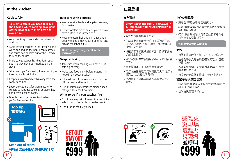# **In the kitchen**

#### **Cook safely**

 **Take extra care if you need to leave the kitchen whilst cooking, take pans off the heat or turn them down to avoid risk.**

- Avoid cooking when under the influence of alcohol.
- Avoid leaving children in the kitchen alone when cooking on the hob. Keep matches and sauce pan handles out of their reach to keep them safe.
- Make sure saucepan handles don't stick out – so they don't get knocked off the stove.
- Take care if you're wearing loose clothing they can easily catch fire.
- Keep tea towels and cloths away from the cooker and hob.
- Spark devices are safer than matches or lighters to light gas cookers, because they don't have a naked flame.
- Double check the cooker is off when you've finished cooking

# **Top tip 重要提示 Top tip**



**Keep out of reach 將物品放在不能被觸碰到的地方**

#### **Take care with electrics**

- Keep electrics (leads and appliances) away from water.
- Check toasters are clean and placed away from curtains and kitchen rolls.
- Keep the oven, hob and grill clean and in good working order. A build up of fat and grease can ignite a fire.

 **Don't put anything metal in the microwave**

#### **Deep fat frying**

- Take care when cooking with hot oil it sets alight easily.
- Make sure food is dry before putting it in hot oil so it doesn't splash.
- $\bullet$  If the oil starts to smoke it's too hot. Turn off the heat and leave it to cool.
- Use a thermostat controlled electric deep fat fryer. They can't overheat.

#### **What to do if a pan catches fire**

- Don't take any risks. Turn off the heat if it's safe to do so. Never throw water over it.
- Don't tackle the fire yourself.



**在廚房裡**

**以避免風險。**

踫到的安全處。

從爐灶上掀翻。

失火。

關火。

• 避免在酒精的影響下烹飪。

**若您烹調時必須離開廚房,則需要格外小 心,請將炊具從熱源上移開或者關閉熱源**

• 在爐架上烹飪時避免讓孩子單獨呆在那 裡。將火柴和平底鍋把柄放在讓他們難以

• 請確保平底鍋把柄沒有伸出 - 這樣不會被

• 若您穿寬鬆的衣服請務必小心 - 它們容易

• 用打火設備點燃用氣炊具比用火柴或打火

• 烹調結束時請再次檢查炊具電源關閉或

• 保持茶巾及抹布遠離炊具和爐架。

機安全,因為它們沒有裸火。

**安全烹飪**

# **小心使用電器**

- 讓電器(導線及用電器)遠離水。
- 檢查烤麵包器是否清潔並將其放在遠離窗 簾和廚房捲紙處。
- 保持烘箱、爐架和烤具清潔並且擺放有序。 油脂堆積會引起火災。

#### **切勿將金屬物放入微波爐**

#### **油炸**

- 用熱油烹調時請多加小心 很容易失火。
- 在把食物放入熱油鍋前確保其乾燥,這樣 不會濺油。
- 若油開始冒煙 則意味著油太熱了。關掉 熱源並使之冷卻。
- 用控溫的深底熱油炸鍋,它們不會過熱。

#### **若鍋子著火該怎麼辦**

- 切勿冒險。如果可以安全關掉熱源,請關掉 熱源。切勿往上澆水。
- 切勿自己單獨處理火災。

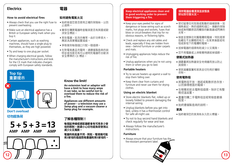# **Electrics**

#### **How to avoid electrical fires**

- Always check that you use the right fuse to 始終檢查您是否使用正確的保險絲,以防 prevent overheating.
- Make sure an electrical appliance has a British or European safety mark when you buy it.
- Certain appliances, such as washing machines, should have a single plug to themselves, as they are high powered.
- Try and keep to one plug per socket.
- When charging electrical goods, follow the manufacturer's instructions and look for the CE mark that indicates chargers comply with European safety standards.

# **Top tip 重要提示 Top tip**



# **Don't overload**

# **5 + 5 + 3 =13 AMP AMP AMP AMP**



# **如何避免電氣火災**

**電器**

- 止過熱。
- 確保在購買電器時查驗其是否有英國或歐 洲安全標誌。
- 某些電器,如洗衣機等,由於功率很大, 應該為其單獨設置插座。
- 爭取做到每個插口只配一個插頭。
- 在對電氣產品充電時,請遵循製造商的說 明並查找是否有可以證明充電器符合歐洲 安全標準的 CE 標誌。

## **Know the limit!**

**An extension lead or adaptor will have a limit to how many amps it can take, so be careful not to overload them to reduce the risk of a fire.** 

**Appliances use different amounts of power – a television may use a 3amp plug and a vacuum cleaner a 5amp plug for example.**

# **切勿超負荷 了解各種限制!**

**每個延伸線或適配器都會有可用多少安 培的限制,故請小心切勿超負荷使用以 減少火災風險。**

**電器所耗能量不同 - 例如,電視機可能 用3安培的插座而吸塵器則用5安培的。**

#### **Keep electrical appliances clean and in good working order to prevent them triggering a fire.**

- Keep your eyes peeled for signs of dangerous or loose wiring such as scorch marks, hot plugs and sockets, fuses that blow or circuit-breakers that trip for no obvious reasons, or flickering lights.
- Check and replace any old cables and leads, especially if they are hidden from view – behind furniture or under carpets and mats.
- Unplugging appliances helps reduce the risk of fire.
- Unplug appliances when you're not using them or when you go to bed.

#### **Portable heaters**

- Try to secure heaters up against a wall to stop them falling over.
- Keep them clear from curtains and furniture and never use them for drying clothes.

#### **Using an electric blanket**

- Store electric blankets flat, rolled up or loosely folded to prevent damaging the internal wiring.
- Unplug blankets before you get into bed, unless it has a thermostat control for safe all-night use.
- Try not to buy second hand blankets and check regularly for wear and tear.
- Always follow the manufacturer's instructions.

#### **Furniture**

• Always ensure that your furniture has the fire-resistant permanent label.

#### **保持電器設備清潔且狀態良 好以防引發火災。**

- 密切留意任何危險或鬆動的接線跡象, 如 燒焦痕記、熱的插頭和插口、燒斷的保險 絲或無明顯原因而觸發的斷路器或閃爍的 光等。
- 檢查並替換任何舊電纜和電線,特別是那 些藏在不太顯眼的地方 - 在家具後面或地 毯或掛毯下的電纜和電線。
- 拔掉電器的插頭有助減少火災風險。
- 您不用電器或上床睡覺時請拔掉插頭。

## **便攜式加熱器**

- 請盡量將加熱器安全地倚牆而放以防止 其傾倒。
- 使其遠離窗簾和家具並切勿用於曬晾 衣物。

#### **使用電熱毯**

- 將電熱毯平放、捲起或鬆散折迭存放, 以防損壞裡面的電線。
- 在睡覺前拔去電熱毯插頭,除非它有整 晚控溫設置。
- 盡量勿購二手電熱毯並經常檢查磨損 程度。
- 始終遵循製造商的說明。

#### **家具**

• 始終確保您的家具有永久防火標籤。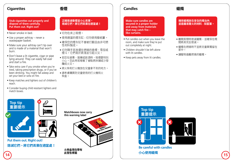## **Cigarettes**

# **香煙**

 **Stub cigarettes out properly and dispose of them carefully. Put them out. Right out!**

- Never smoke in bed.
- Use a proper ashtray never a wastepaper basket.
- Make sure your ashtray can't tip over and is made of a material that won't burn.
- Don't leave a lit cigarette, cigar or pipe lying around. They can easily fall over and start a fire.
- Take extra care if you smoke when you're tired, taking prescription drugs, or if you've been drinking. You might fall asleep and set your bed or sofa on fire.
- Keep matches and lighters out of children's reach.
- Consider buying child resistant lighters and match boxes.

#### **正確熄滅香煙並小心丟棄。 熄滅它們。將它們丟棄在適當處!**

- 切勿在床上吸煙。
- 使用適當的煙灰缸 切勿使用廢紙簍。
- 確保您的煙灰缸不會被打翻且由非可燃 性材料製成。
- 切勿隨手丟放還在燃燒的香煙、雪茄或 煙斗。它們易於跌落並引起火災。
- 若您在疲憊、服藥或飲酒時,吸煙要特別 小心。您此時若睡著了會點燃床鋪或沙發 釀成火災。
- 將火柴和打火機放在兒童拿不到的地方。
- 請考慮購買防兒童使用的打火機和火 柴盒。

# **Candles**

 **Make sure candles are secured in a proper holder and away from materials that may catch fire – like curtains.**

- Put candles out when you leave the room, and make sure they're put out completely at night.
- Children shouldn't be left alone with lit candles.
- Keep pets away from lit candles.

#### **確保蠟燭放在安全的燭台內 並遠離易著火的材料 - 如窗簾。**

**蠟燭**

- 離開房間時熄滅蠟燭,並確保在晚 間將其完全熄滅。
- 蠟燭在燃燒時不宜將兒童單獨留在 家中。
- 讓寵物遠離燃燒的蠟燭。



**Be careful with candles 小心使用蠟燭**



**Put them out. Right out! 熄滅它們。將它們丟棄在適當處!**



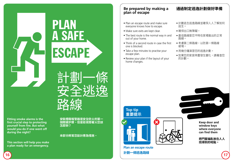**Fitting smoke alarms is the first crucial step to protecting yourself from fire. But what would you do if one went off during the night?**

**This section will help you make a plan ready for an emergency.**

**安裝煙霧報警器是安全防火的第一 個關鍵步驟。但是若夜間著火您該 怎麼辦?**

言十畫小一件

安全议

路線

#### **本部分將幫您設計應急措施。**

ESCAPE

A SAFE

PLAN

# **Be prepared by making a plan of escape**

- Plan an escape route and make sure everyone knows how to escape.
- Make sure exits are kept clear.
- The best route is the normal way in and out of your home.
- Think of a second route in case the first one is blocked.
- Take a few minutes to practise your escape plan.
- Review your plan if the layout of your home changes.
- 計劃逃生逃逸路線並確保人人了解如何 逃生。
- 確保出口無障礙。
- 最佳路線是您平時在家裡進出的正常 路線。
- 考慮第二條路線,以防第一條路線 被堵。
- 用幾分鐘演習您的逃逸計劃。
- 如果您的家居佈置發生變化,請複查您 的計劃。



## **通過制定逃逸計劃做好準備**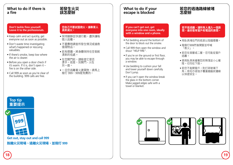## **What to do if there is a fire**

#### **Don't tackle fires yourself. Leave it to the professionals.**

- Keep calm and act quickly, get everyone out as soon as possible.
- Don't waste time investigating what's happened or rescuing valuables.
- If there's smoke, keep low where the air is clearer.
- Before you open a door check if it's warm. If it is, don't open it – fire is on the other side.
- Call 999 as soon as you're clear of the building. 999 calls are free.

# **若發生火災 該怎麼辦**

#### **您自己不要試圖救火。讓專業人 員來滅火。**

- 保持鎮靜並快速行動,盡快讓每 個人逃離。
- 不要費時調查所發生情況或搶救 值錢物品。
- 若有煙霧,將身體保持在空氣較 清新的低處。
- 在您開門前,請檢查它是否 燙手。若是,別開門 - 火在 另一面。
- 一旦您逃離著火建築物,請馬上 撥打 999。999是免費的。

## **What to do if your escape is blocked**

#### **If you can't get out, get everyone into one room, ideally with a window and a phone.**

- Put bedding around the bottom of the door to block out the smoke.
- Call 999 then open the window and shout "HELP FIRE".
- If you're on the ground or first floor, you may be able to escape through a window.
- Use bedding to cushion your fall and lower yourself down carefully. Don't jump.
- If you can't open the window break the glass in the bottom corner. Make jagged edges safe with a towel or blanket.

# **若您的逃逸路線被堵 怎麼辦**

#### **若不能逃離,讓所有人進入一個房 間,最好是有窗戶和電話的房間。**

- 用臥具堵住門的底部以阻擋煙霧。
- 撥撥打999然後開窗並呼喊 「救火」。
- 若您在首層或二層,您可能從窗戶 逃離。
- 使用臥具來緩衝您的降落並小心著 陸。切勿往下跳。
- 若您不能開窗戶,則打碎玻璃下 角。用毛巾或毯子覆蓋鋸齒狀邊緣 以保證安全。

# **Top tip 重要提示**



**Get out, stay out and call 999 脫離火災現場、遠離火災現場、並撥打 999**





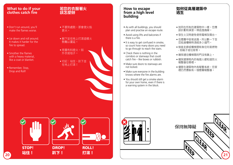### **What to do if your clothes catch fire**

- Don't run around, you'll make the flames worse.
- Lie down and roll around. It makes it harder for the fire to spread.
- Smother the flames with a heavy material, like a coat or blanket.
- Remember, Stop, Drop and Roll!

#### **若您的衣服著火 該怎麼辦**

- 不要到處跑,那會使火焰 更大。
- 躺下並在地上打滾這樣火 勢難以蔓延。
- 用重布料熄火,如 外衣或毯子。
- 切記:站住、趴下並 在地上打滾!

#### **How to escape from a high level building**

- As with all buildings, you should plan and practise an escape route.
- Avoid using lifts and balconies if there is a fire.
- It is easy to get confused in smoke, so count how many doors you need to go through to reach the stairs.
- Check there is nothing in the corridors or stairways that could catch fire – like boxes or rubbish.
- Make sure doors to stairways are not locked.
- Make sure everyone in the building knows where the fire alarms are.
- You should still get a smoke alarm for your own home, even if there is a warning system in the block.



- 如同在所有的建築物中一樣, 您應 該計劃和演習一條逃逸路線。
- 發生火災時避免使用電梯及陽台。
- 在煙霧中容易迷路,所以數一下至 您抵達樓梯時須經多少道門。
- 檢查走廊或樓梯間有無任何易燃物 - 如箱子或垃圾等。
- 確保通往樓梯間的門沒有鎖上。
- 確保建築物內的每個人都知道防火 報警器在哪裡。
- 儘管在建築物內有報警系統, 您家 裡仍然應裝有一個煙霧報警器。





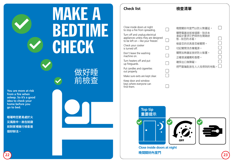

**You are more at risk from a fire when asleep. So it's a good idea to check your home before you go to bed.**

**睡著時您更易處於火 災風險中。故在就寢 前對家裡進行檢查是 個好辦法。**

# 做好睡 前檢查



# **檢查清單**

 $\Box$ 

 $\Box$ 

 $\Box$  $\Box$ 

 $\Box$ 

Close inside doors at night to stop a fire from spreading.

Turn off and unplug electrical appliances unless they are designed  $\Box$ to be left on – like your freezer.

Check your cooker is turned off.

Don't leave the washing machine on.

Turn heaters off and put up fireguards.

Put candles and cigarettes out properly.

Make sure exits are kept clear.

**Top tip**

Keep door and window keys where everyone can find them.

| 晚間關好內室門以防火勢蔓延。                               |
|----------------------------------------------|
| 關閉電器並拔掉插頭,除非本<br>身設計要求它們保持在開啟狀<br>熊 - 如您的冰箱。 |
| 檢查您的炊具是否被關閉。                                 |
| 切記關閉洗衣機雷源。                                   |
| 關閉加熱器並放好防火裝置。                                |
| 正確熄滅蠟燭和香煙。                                   |
| 確保出口無障礙。                                     |
| 把門窗鑰匙放在人人找得到的地點。                             |

 $\Box$ 



**Close inside doors at night 22 23 晚間關好內室門**